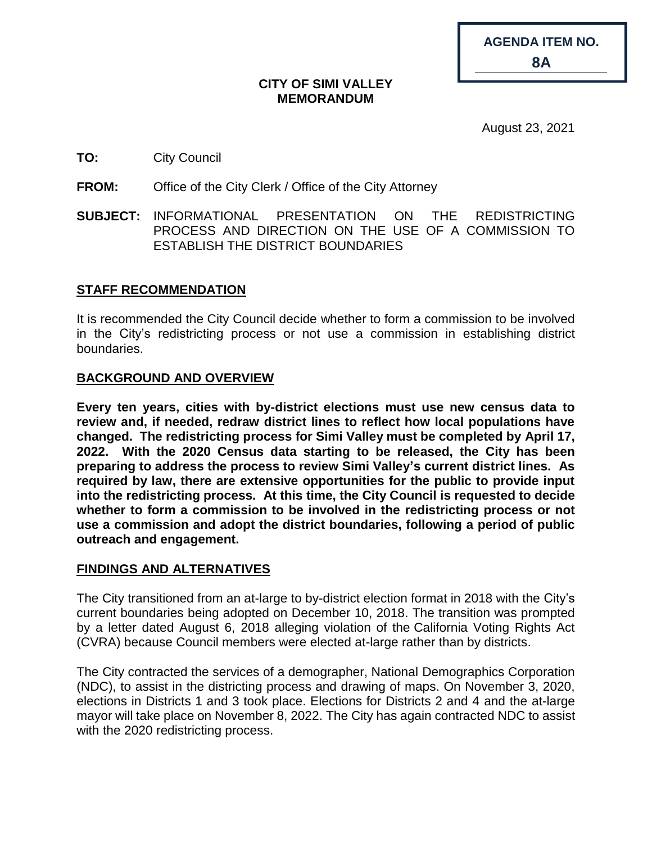| AGENDA ITEM NO. |  |
|-----------------|--|
| <b>8A</b>       |  |

#### **CITY OF SIMI VALLEY MEMORANDUM**

August 23, 2021

## **TO:** City Council

**FROM:** Office of the City Clerk / Office of the City Attorney

**SUBJECT:** INFORMATIONAL PRESENTATION ON THE REDISTRICTING PROCESS AND DIRECTION ON THE USE OF A COMMISSION TO ESTABLISH THE DISTRICT BOUNDARIES

# **STAFF RECOMMENDATION**

It is recommended the City Council decide whether to form a commission to be involved in the City's redistricting process or not use a commission in establishing district boundaries.

# **BACKGROUND AND OVERVIEW**

**Every ten years, cities with by-district elections must use new census data to review and, if needed, redraw district lines to reflect how local populations have changed. The redistricting process for Simi Valley must be completed by April 17, 2022. With the 2020 Census data starting to be released, the City has been preparing to address the process to review Simi Valley's current district lines. As required by law, there are extensive opportunities for the public to provide input into the redistricting process. At this time, the City Council is requested to decide whether to form a commission to be involved in the redistricting process or not use a commission and adopt the district boundaries, following a period of public outreach and engagement.**

### **FINDINGS AND ALTERNATIVES**

The City transitioned from an at-large to by-district election format in 2018 with the City's current boundaries being adopted on December 10, 2018. The transition was prompted by a letter dated August 6, 2018 alleging violation of the California Voting Rights Act (CVRA) because Council members were elected at-large rather than by districts.

The City contracted the services of a demographer, National Demographics Corporation (NDC), to assist in the districting process and drawing of maps. On November 3, 2020, elections in Districts 1 and 3 took place. Elections for Districts 2 and 4 and the at-large mayor will take place on November 8, 2022. The City has again contracted NDC to assist with the 2020 redistricting process.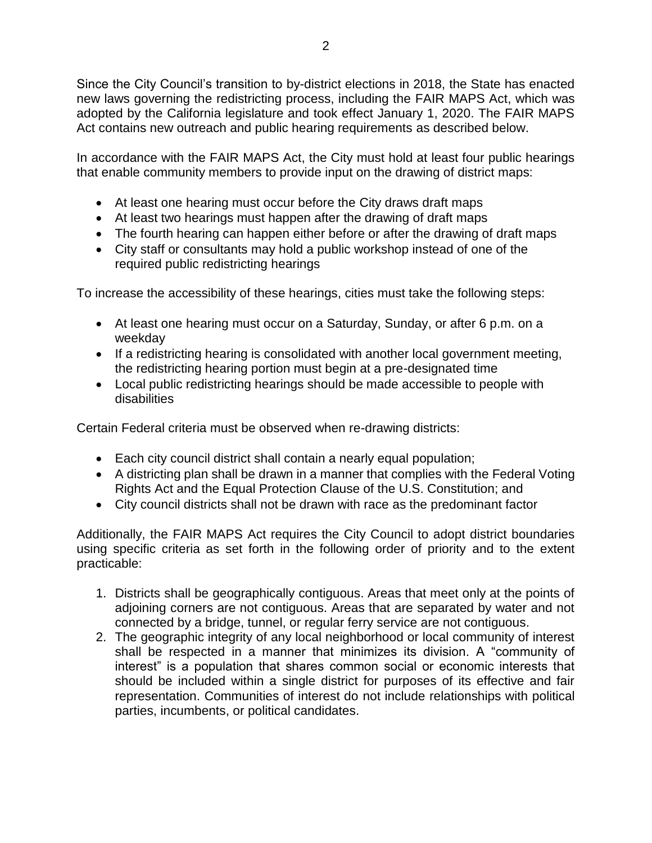Since the City Council's transition to by-district elections in 2018, the State has enacted new laws governing the redistricting process, including the FAIR MAPS Act, which was adopted by the California legislature and took effect January 1, 2020. The FAIR MAPS Act contains new outreach and public hearing requirements as described below.

In accordance with the FAIR MAPS Act, the City must hold at least four public hearings that enable community members to provide input on the drawing of district maps:

- At least one hearing must occur before the City draws draft maps
- At least two hearings must happen after the drawing of draft maps
- The fourth hearing can happen either before or after the drawing of draft maps
- City staff or consultants may hold a public workshop instead of one of the required public redistricting hearings

To increase the accessibility of these hearings, cities must take the following steps:

- At least one hearing must occur on a Saturday, Sunday, or after 6 p.m. on a weekday
- If a redistricting hearing is consolidated with another local government meeting, the redistricting hearing portion must begin at a pre-designated time
- Local public redistricting hearings should be made accessible to people with disabilities

Certain Federal criteria must be observed when re-drawing districts:

- Each city council district shall contain a nearly equal population;
- A districting plan shall be drawn in a manner that complies with the Federal Voting Rights Act and the Equal Protection Clause of the U.S. Constitution; and
- City council districts shall not be drawn with race as the predominant factor

Additionally, the FAIR MAPS Act requires the City Council to adopt district boundaries using specific criteria as set forth in the following order of priority and to the extent practicable:

- 1. Districts shall be geographically contiguous. Areas that meet only at the points of adjoining corners are not contiguous. Areas that are separated by water and not connected by a bridge, tunnel, or regular ferry service are not contiguous.
- 2. The geographic integrity of any local neighborhood or local community of interest shall be respected in a manner that minimizes its division. A "community of interest" is a population that shares common social or economic interests that should be included within a single district for purposes of its effective and fair representation. Communities of interest do not include relationships with political parties, incumbents, or political candidates.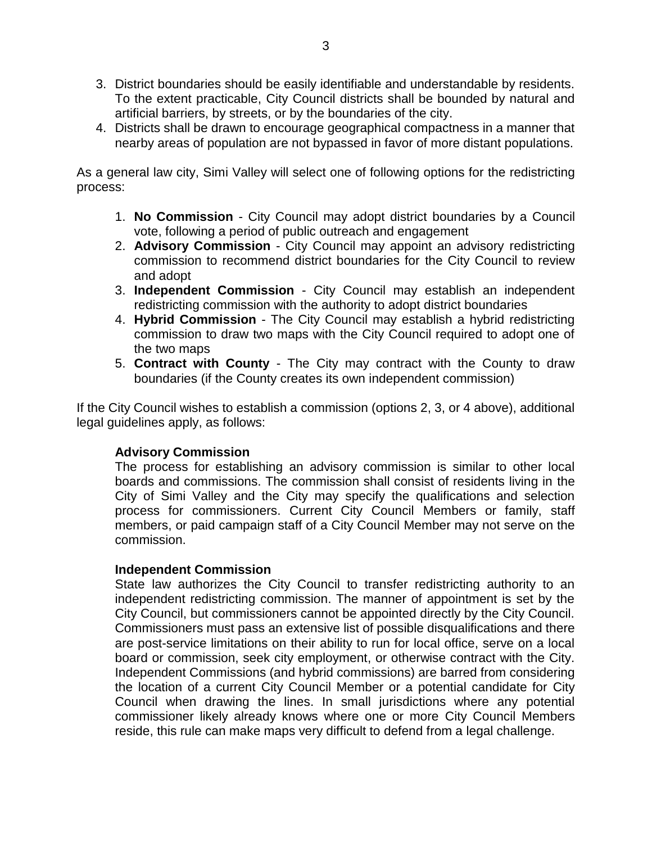- 3. District boundaries should be easily identifiable and understandable by residents. To the extent practicable, City Council districts shall be bounded by natural and artificial barriers, by streets, or by the boundaries of the city.
- 4. Districts shall be drawn to encourage geographical compactness in a manner that nearby areas of population are not bypassed in favor of more distant populations.

As a general law city, Simi Valley will select one of following options for the redistricting process:

- 1. **No Commission**  City Council may adopt district boundaries by a Council vote, following a period of public outreach and engagement
- 2. **Advisory Commission**  City Council may appoint an advisory redistricting commission to recommend district boundaries for the City Council to review and adopt
- 3. **Independent Commission**  City Council may establish an independent redistricting commission with the authority to adopt district boundaries
- 4. **Hybrid Commission**  The City Council may establish a hybrid redistricting commission to draw two maps with the City Council required to adopt one of the two maps
- 5. **Contract with County** The City may contract with the County to draw boundaries (if the County creates its own independent commission)

If the City Council wishes to establish a commission (options 2, 3, or 4 above), additional legal guidelines apply, as follows:

### **Advisory Commission**

The process for establishing an advisory commission is similar to other local boards and commissions. The commission shall consist of residents living in the City of Simi Valley and the City may specify the qualifications and selection process for commissioners. Current City Council Members or family, staff members, or paid campaign staff of a City Council Member may not serve on the commission.

### **Independent Commission**

State law authorizes the City Council to transfer redistricting authority to an independent redistricting commission. The manner of appointment is set by the City Council, but commissioners cannot be appointed directly by the City Council. Commissioners must pass an extensive list of possible disqualifications and there are post-service limitations on their ability to run for local office, serve on a local board or commission, seek city employment, or otherwise contract with the City. Independent Commissions (and hybrid commissions) are barred from considering the location of a current City Council Member or a potential candidate for City Council when drawing the lines. In small jurisdictions where any potential commissioner likely already knows where one or more City Council Members reside, this rule can make maps very difficult to defend from a legal challenge.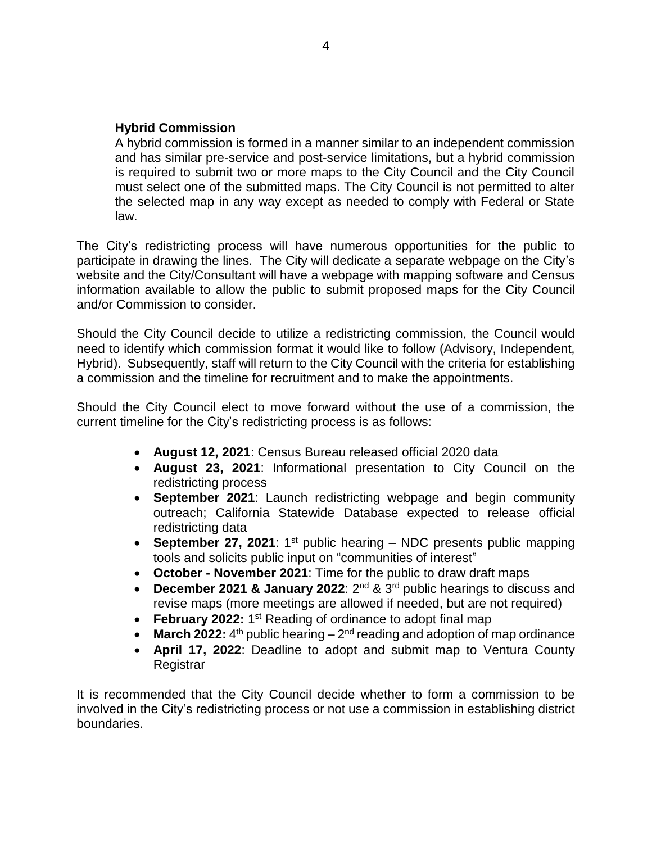#### **Hybrid Commission**

A hybrid commission is formed in a manner similar to an independent commission and has similar pre-service and post-service limitations, but a hybrid commission is required to submit two or more maps to the City Council and the City Council must select one of the submitted maps. The City Council is not permitted to alter the selected map in any way except as needed to comply with Federal or State law.

The City's redistricting process will have numerous opportunities for the public to participate in drawing the lines. The City will dedicate a separate webpage on the City's website and the City/Consultant will have a webpage with mapping software and Census information available to allow the public to submit proposed maps for the City Council and/or Commission to consider.

Should the City Council decide to utilize a redistricting commission, the Council would need to identify which commission format it would like to follow (Advisory, Independent, Hybrid). Subsequently, staff will return to the City Council with the criteria for establishing a commission and the timeline for recruitment and to make the appointments.

Should the City Council elect to move forward without the use of a commission, the current timeline for the City's redistricting process is as follows:

- **August 12, 2021**: Census Bureau released official 2020 data
- **August 23, 2021**: Informational presentation to City Council on the redistricting process
- **September 2021**: Launch redistricting webpage and begin community outreach; California Statewide Database expected to release official redistricting data
- **September 27, 2021**: 1<sup>st</sup> public hearing NDC presents public mapping tools and solicits public input on "communities of interest"
- **October - November 2021**: Time for the public to draw draft maps
- **December 2021 & January 2022**: 2 nd & 3rd public hearings to discuss and revise maps (more meetings are allowed if needed, but are not required)
- February 2022: 1<sup>st</sup> Reading of ordinance to adopt final map
- $\bullet$  **March 2022:** 4<sup>th</sup> public hearing  $-2$ <sup>nd</sup> reading and adoption of map ordinance
- **April 17, 2022**: Deadline to adopt and submit map to Ventura County **Registrar**

It is recommended that the City Council decide whether to form a commission to be involved in the City's redistricting process or not use a commission in establishing district boundaries.